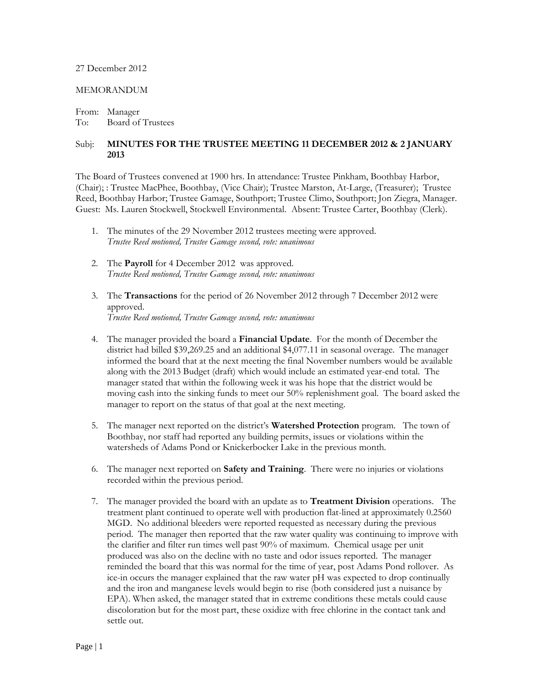## 27 December 2012

## MEMORANDUM

From: Manager To: Board of Trustees

## Subj: **MINUTES FOR THE TRUSTEE MEETING 11 DECEMBER 2012 & 2 JANUARY 2013**

The Board of Trustees convened at 1900 hrs. In attendance: Trustee Pinkham, Boothbay Harbor, (Chair); : Trustee MacPhee, Boothbay, (Vice Chair); Trustee Marston, At-Large, (Treasurer); Trustee Reed, Boothbay Harbor; Trustee Gamage, Southport; Trustee Climo, Southport; Jon Ziegra, Manager. Guest: Ms. Lauren Stockwell, Stockwell Environmental. Absent: Trustee Carter, Boothbay (Clerk).

- 1. The minutes of the 29 November 2012 trustees meeting were approved. *Trustee Reed motioned, Trustee Gamage second, vote: unanimous*
- 2. The **Payroll** for 4 December 2012 was approved. *Trustee Reed motioned, Trustee Gamage second, vote: unanimous*
- 3. The **Transactions** for the period of 26 November 2012 through 7 December 2012 were approved. *Trustee Reed motioned, Trustee Gamage second, vote: unanimous*
- 4. The manager provided the board a **Financial Update**. For the month of December the district had billed \$39,269.25 and an additional \$4,077.11 in seasonal overage. The manager informed the board that at the next meeting the final November numbers would be available along with the 2013 Budget (draft) which would include an estimated year-end total. The manager stated that within the following week it was his hope that the district would be moving cash into the sinking funds to meet our 50% replenishment goal. The board asked the manager to report on the status of that goal at the next meeting.
- 5. The manager next reported on the district's **Watershed Protection** program. The town of Boothbay, nor staff had reported any building permits, issues or violations within the watersheds of Adams Pond or Knickerbocker Lake in the previous month.
- 6. The manager next reported on **Safety and Training**. There were no injuries or violations recorded within the previous period.
- 7. The manager provided the board with an update as to **Treatment Division** operations. The treatment plant continued to operate well with production flat-lined at approximately 0.2560 MGD. No additional bleeders were reported requested as necessary during the previous period. The manager then reported that the raw water quality was continuing to improve with the clarifier and filter run times well past 90% of maximum. Chemical usage per unit produced was also on the decline with no taste and odor issues reported. The manager reminded the board that this was normal for the time of year, post Adams Pond rollover. As ice-in occurs the manager explained that the raw water pH was expected to drop continually and the iron and manganese levels would begin to rise (both considered just a nuisance by EPA). When asked, the manager stated that in extreme conditions these metals could cause discoloration but for the most part, these oxidize with free chlorine in the contact tank and settle out.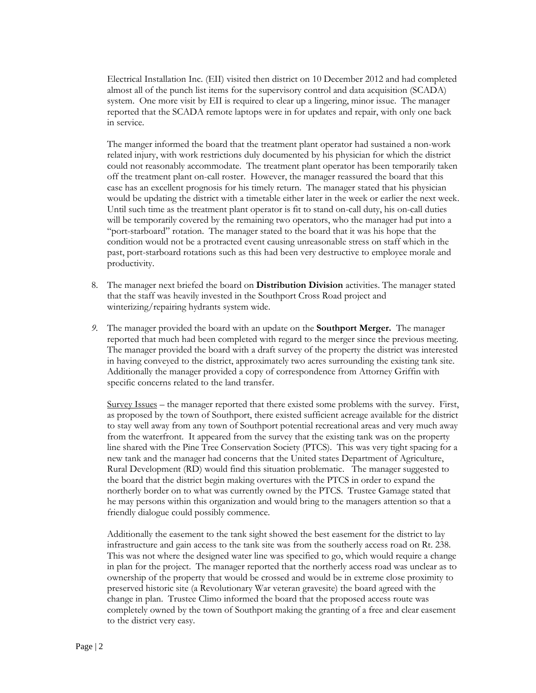Electrical Installation Inc. (EII) visited then district on 10 December 2012 and had completed almost all of the punch list items for the supervisory control and data acquisition (SCADA) system. One more visit by EII is required to clear up a lingering, minor issue. The manager reported that the SCADA remote laptops were in for updates and repair, with only one back in service.

The manger informed the board that the treatment plant operator had sustained a non-work related injury, with work restrictions duly documented by his physician for which the district could not reasonably accommodate. The treatment plant operator has been temporarily taken off the treatment plant on-call roster. However, the manager reassured the board that this case has an excellent prognosis for his timely return. The manager stated that his physician would be updating the district with a timetable either later in the week or earlier the next week. Until such time as the treatment plant operator is fit to stand on-call duty, his on-call duties will be temporarily covered by the remaining two operators, who the manager had put into a "port-starboard" rotation. The manager stated to the board that it was his hope that the condition would not be a protracted event causing unreasonable stress on staff which in the past, port-starboard rotations such as this had been very destructive to employee morale and productivity.

- 8. The manager next briefed the board on **Distribution Division** activities. The manager stated that the staff was heavily invested in the Southport Cross Road project and winterizing/repairing hydrants system wide.
- *9.* The manager provided the board with an update on the **Southport Merger.** The manager reported that much had been completed with regard to the merger since the previous meeting. The manager provided the board with a draft survey of the property the district was interested in having conveyed to the district, approximately two acres surrounding the existing tank site. Additionally the manager provided a copy of correspondence from Attorney Griffin with specific concerns related to the land transfer.

Survey Issues – the manager reported that there existed some problems with the survey. First, as proposed by the town of Southport, there existed sufficient acreage available for the district to stay well away from any town of Southport potential recreational areas and very much away from the waterfront. It appeared from the survey that the existing tank was on the property line shared with the Pine Tree Conservation Society (PTCS). This was very tight spacing for a new tank and the manager had concerns that the United states Department of Agriculture, Rural Development (RD) would find this situation problematic. The manager suggested to the board that the district begin making overtures with the PTCS in order to expand the northerly border on to what was currently owned by the PTCS. Trustee Gamage stated that he may persons within this organization and would bring to the managers attention so that a friendly dialogue could possibly commence.

Additionally the easement to the tank sight showed the best easement for the district to lay infrastructure and gain access to the tank site was from the southerly access road on Rt. 238. This was not where the designed water line was specified to go, which would require a change in plan for the project. The manager reported that the northerly access road was unclear as to ownership of the property that would be crossed and would be in extreme close proximity to preserved historic site (a Revolutionary War veteran gravesite) the board agreed with the change in plan. Trustee Climo informed the board that the proposed access route was completely owned by the town of Southport making the granting of a free and clear easement to the district very easy.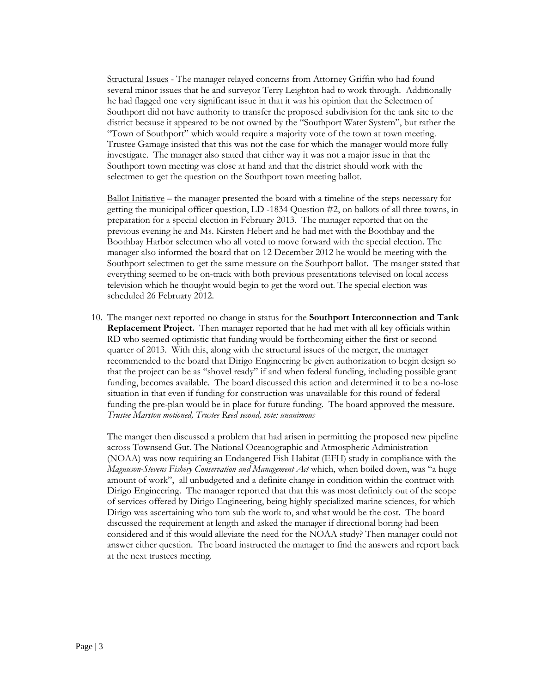Structural Issues - The manager relayed concerns from Attorney Griffin who had found several minor issues that he and surveyor Terry Leighton had to work through. Additionally he had flagged one very significant issue in that it was his opinion that the Selectmen of Southport did not have authority to transfer the proposed subdivision for the tank site to the district because it appeared to be not owned by the "Southport Water System", but rather the "Town of Southport" which would require a majority vote of the town at town meeting. Trustee Gamage insisted that this was not the case for which the manager would more fully investigate. The manager also stated that either way it was not a major issue in that the Southport town meeting was close at hand and that the district should work with the selectmen to get the question on the Southport town meeting ballot.

Ballot Initiative – the manager presented the board with a timeline of the steps necessary for getting the municipal officer question, LD -1834 Question #2, on ballots of all three towns, in preparation for a special election in February 2013. The manager reported that on the previous evening he and Ms. Kirsten Hebert and he had met with the Boothbay and the Boothbay Harbor selectmen who all voted to move forward with the special election. The manager also informed the board that on 12 December 2012 he would be meeting with the Southport selectmen to get the same measure on the Southport ballot. The manger stated that everything seemed to be on-track with both previous presentations televised on local access television which he thought would begin to get the word out. The special election was scheduled 26 February 2012.

10. The manger next reported no change in status for the **Southport Interconnection and Tank Replacement Project.** Then manager reported that he had met with all key officials within RD who seemed optimistic that funding would be forthcoming either the first or second quarter of 2013. With this, along with the structural issues of the merger, the manager recommended to the board that Dirigo Engineering be given authorization to begin design so that the project can be as "shovel ready" if and when federal funding, including possible grant funding, becomes available. The board discussed this action and determined it to be a no-lose situation in that even if funding for construction was unavailable for this round of federal funding the pre-plan would be in place for future funding. The board approved the measure. *Trustee Marston motioned, Trustee Reed second, vote: unanimous*

The manger then discussed a problem that had arisen in permitting the proposed new pipeline across Townsend Gut. The National Oceanographic and Atmospheric Administration (NOAA) was now requiring an Endangered Fish Habitat (EFH) study in compliance with the *Magnuson-Stevens Fishery Conservation and Management Act* which, when boiled down, was "a huge amount of work", all unbudgeted and a definite change in condition within the contract with Dirigo Engineering. The manager reported that that this was most definitely out of the scope of services offered by Dirigo Engineering, being highly specialized marine sciences, for which Dirigo was ascertaining who tom sub the work to, and what would be the cost. The board discussed the requirement at length and asked the manager if directional boring had been considered and if this would alleviate the need for the NOAA study? Then manager could not answer either question. The board instructed the manager to find the answers and report back at the next trustees meeting.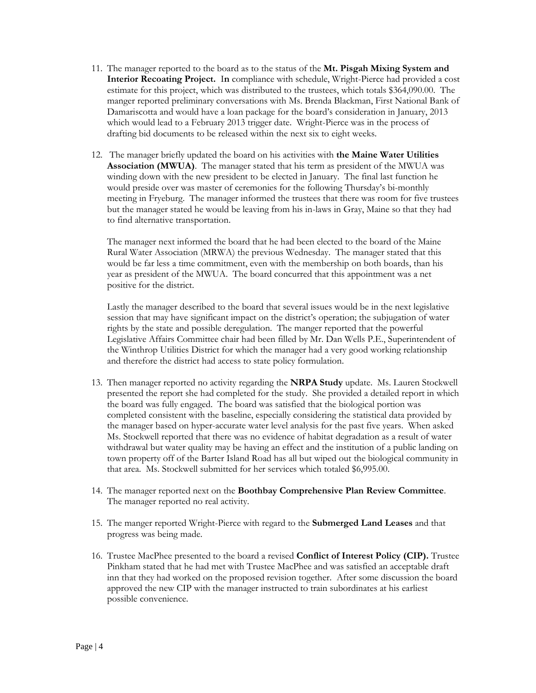- 11. The manager reported to the board as to the status of the **Mt. Pisgah Mixing System and Interior Recoating Project.** I**n** compliance with schedule, Wright-Pierce had provided a cost estimate for this project, which was distributed to the trustees, which totals \$364,090.00. The manger reported preliminary conversations with Ms. Brenda Blackman, First National Bank of Damariscotta and would have a loan package for the board's consideration in January, 2013 which would lead to a February 2013 trigger date. Wright-Pierce was in the process of drafting bid documents to be released within the next six to eight weeks.
- 12. The manager briefly updated the board on his activities with **the Maine Water Utilities Association (MWUA)**. The manager stated that his term as president of the MWUA was winding down with the new president to be elected in January. The final last function he would preside over was master of ceremonies for the following Thursday's bi-monthly meeting in Fryeburg. The manager informed the trustees that there was room for five trustees but the manager stated he would be leaving from his in-laws in Gray, Maine so that they had to find alternative transportation.

The manager next informed the board that he had been elected to the board of the Maine Rural Water Association (MRWA) the previous Wednesday. The manager stated that this would be far less a time commitment, even with the membership on both boards, than his year as president of the MWUA. The board concurred that this appointment was a net positive for the district.

Lastly the manager described to the board that several issues would be in the next legislative session that may have significant impact on the district's operation; the subjugation of water rights by the state and possible deregulation. The manger reported that the powerful Legislative Affairs Committee chair had been filled by Mr. Dan Wells P.E., Superintendent of the Winthrop Utilities District for which the manager had a very good working relationship and therefore the district had access to state policy formulation.

- 13. Then manager reported no activity regarding the **NRPA Study** update. Ms. Lauren Stockwell presented the report she had completed for the study. She provided a detailed report in which the board was fully engaged. The board was satisfied that the biological portion was completed consistent with the baseline, especially considering the statistical data provided by the manager based on hyper-accurate water level analysis for the past five years. When asked Ms. Stockwell reported that there was no evidence of habitat degradation as a result of water withdrawal but water quality may be having an effect and the institution of a public landing on town property off of the Barter Island Road has all but wiped out the biological community in that area. Ms. Stockwell submitted for her services which totaled \$6,995.00.
- 14. The manager reported next on the **Boothbay Comprehensive Plan Review Committee**. The manager reported no real activity.
- 15. The manger reported Wright-Pierce with regard to the **Submerged Land Leases** and that progress was being made.
- 16. Trustee MacPhee presented to the board a revised **Conflict of Interest Policy (CIP).** Trustee Pinkham stated that he had met with Trustee MacPhee and was satisfied an acceptable draft inn that they had worked on the proposed revision together. After some discussion the board approved the new CIP with the manager instructed to train subordinates at his earliest possible convenience.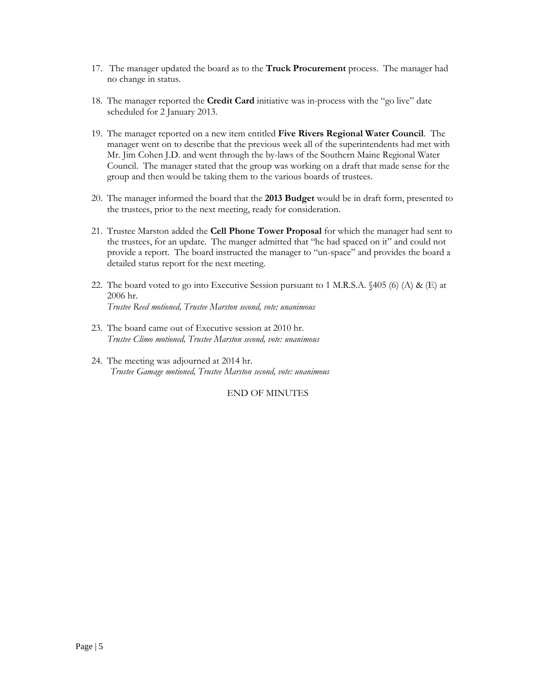- 17. The manager updated the board as to the **Truck Procurement** process. The manager had no change in status.
- 18. The manager reported the **Credit Card** initiative was in-process with the "go live" date scheduled for 2 January 2013.
- 19. The manager reported on a new item entitled **Five Rivers Regional Water Council**. The manager went on to describe that the previous week all of the superintendents had met with Mr. Jim Cohen J.D. and went through the by-laws of the Southern Maine Regional Water Council. The manager stated that the group was working on a draft that made sense for the group and then would be taking them to the various boards of trustees.
- 20. The manager informed the board that the **2013 Budget** would be in draft form, presented to the trustees, prior to the next meeting, ready for consideration.
- 21. Trustee Marston added the **Cell Phone Tower Proposal** for which the manager had sent to the trustees, for an update. The manger admitted that "he had spaced on it" and could not provide a report. The board instructed the manager to "un-space" and provides the board a detailed status report for the next meeting.
- 22. The board voted to go into Executive Session pursuant to 1 M.R.S.A.  $\{405\}$  (6) (A) & (E) at 2006 hr. *Trustee Reed motioned, Trustee Marston second, vote: unanimous*
- 23. The board came out of Executive session at 2010 hr. *Trustee Climo motioned, Trustee Marston second, vote: unanimous*
- 24. The meeting was adjourned at 2014 hr. *Trustee Gamage motioned, Trustee Marston second, vote: unanimous*

END OF MINUTES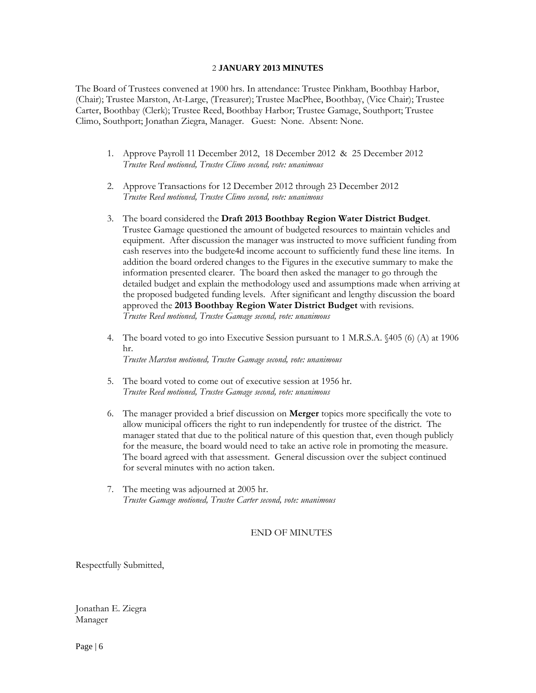## 2 **JANUARY 2013 MINUTES**

The Board of Trustees convened at 1900 hrs. In attendance: Trustee Pinkham, Boothbay Harbor, (Chair); Trustee Marston, At-Large, (Treasurer); Trustee MacPhee, Boothbay, (Vice Chair); Trustee Carter, Boothbay (Clerk); Trustee Reed, Boothbay Harbor; Trustee Gamage, Southport; Trustee Climo, Southport; Jonathan Ziegra, Manager. Guest: None. Absent: None.

- 1. Approve Payroll 11 December 2012, 18 December 2012 & 25 December 2012 *Trustee Reed motioned, Trustee Climo second, vote: unanimous*
- 2. Approve Transactions for 12 December 2012 through 23 December 2012 *Trustee Reed motioned, Trustee Climo second, vote: unanimous*
- 3. The board considered the **Draft 2013 Boothbay Region Water District Budget**. Trustee Gamage questioned the amount of budgeted resources to maintain vehicles and equipment. After discussion the manager was instructed to move sufficient funding from cash reserves into the budgete4d income account to sufficiently fund these line items. In addition the board ordered changes to the Figures in the executive summary to make the information presented clearer. The board then asked the manager to go through the detailed budget and explain the methodology used and assumptions made when arriving at the proposed budgeted funding levels. After significant and lengthy discussion the board approved the **2013 Boothbay Region Water District Budget** with revisions. *Trustee Reed motioned, Trustee Gamage second, vote: unanimous*
- 4. The board voted to go into Executive Session pursuant to 1 M.R.S.A. §405 (6) (A) at 1906 hr. *Trustee Marston motioned, Trustee Gamage second, vote: unanimous*
- 5. The board voted to come out of executive session at 1956 hr. *Trustee Reed motioned, Trustee Gamage second, vote: unanimous*
- 6. The manager provided a brief discussion on **Merger** topics more specifically the vote to allow municipal officers the right to run independently for trustee of the district. The manager stated that due to the political nature of this question that, even though publicly for the measure, the board would need to take an active role in promoting the measure. The board agreed with that assessment. General discussion over the subject continued for several minutes with no action taken.
- 7. The meeting was adjourned at 2005 hr. *Trustee Gamage motioned, Trustee Carter second, vote: unanimous*

END OF MINUTES

Respectfully Submitted,

Jonathan E. Ziegra Manager